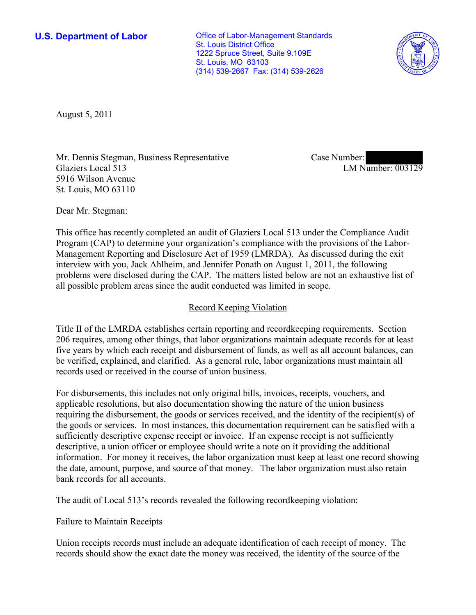**U.S. Department of Labor Conservative Conservative Conservative Conservative Conservative Conservative Conservative Conservative Conservative Conservative Conservative Conservative Conservative Conservative Conservative** St. Louis District Office 1222 Spruce Street, Suite 9.109E St. Louis, MO 63103 (314) 539-2667 Fax: (314) 539-2626



August 5, 2011

Mr. Dennis Stegman, Business Representative Glaziers Local 513 5916 Wilson Avenue St. Louis, MO 63110

Case Number: LM Number: 003129

Dear Mr. Stegman:

This office has recently completed an audit of Glaziers Local 513 under the Compliance Audit Program (CAP) to determine your organization's compliance with the provisions of the Labor-Management Reporting and Disclosure Act of 1959 (LMRDA). As discussed during the exit interview with you, Jack Ahlheim, and Jennifer Ponath on August 1, 2011, the following problems were disclosed during the CAP. The matters listed below are not an exhaustive list of all possible problem areas since the audit conducted was limited in scope.

## Record Keeping Violation

Title II of the LMRDA establishes certain reporting and recordkeeping requirements. Section 206 requires, among other things, that labor organizations maintain adequate records for at least five years by which each receipt and disbursement of funds, as well as all account balances, can be verified, explained, and clarified. As a general rule, labor organizations must maintain all records used or received in the course of union business.

For disbursements, this includes not only original bills, invoices, receipts, vouchers, and applicable resolutions, but also documentation showing the nature of the union business requiring the disbursement, the goods or services received, and the identity of the recipient(s) of the goods or services. In most instances, this documentation requirement can be satisfied with a sufficiently descriptive expense receipt or invoice. If an expense receipt is not sufficiently descriptive, a union officer or employee should write a note on it providing the additional information. For money it receives, the labor organization must keep at least one record showing the date, amount, purpose, and source of that money. The labor organization must also retain bank records for all accounts.

The audit of Local 513's records revealed the following recordkeeping violation:

Failure to Maintain Receipts

Union receipts records must include an adequate identification of each receipt of money. The records should show the exact date the money was received, the identity of the source of the